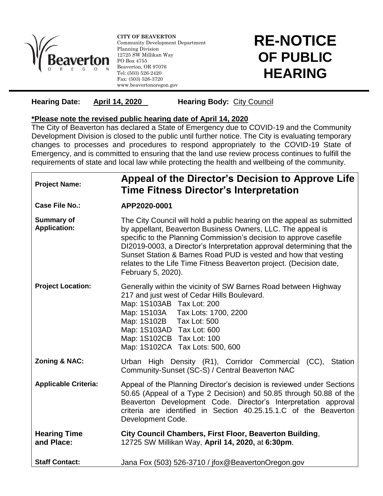

l

**CITY OF BEAVERTON** Community Development Department Planning Division 12725 SW Millikan Way PO Box 4755 Beaverton, OR 97076 Tel: (503) 526-2420 Fax: (503) 526-3720 www.beavertonoregon.gov

## **RE-NOTICE OF PUBLIC HEARING**

## **Hearing Date: April 14, 2020 Hearing Body:** City Council

## **\*Please note the revised public hearing date of April 14, 2020**

The City of Beaverton has declared a State of Emergency due to COVID-19 and the Community Development Division is closed to the public until further notice. The City is evaluating temporary changes to processes and procedures to respond appropriately to the COVID-19 State of Emergency, and is committed to ensuring that the land use review process continues to fulfill the requirements of state and local law while protecting the health and wellbeing of the community.

| <b>Project Name:</b>                     | Appeal of the Director's Decision to Approve Life<br><b>Time Fitness Director's Interpretation</b>                                                                                                                                                                                                                                                                                                                                                    |
|------------------------------------------|-------------------------------------------------------------------------------------------------------------------------------------------------------------------------------------------------------------------------------------------------------------------------------------------------------------------------------------------------------------------------------------------------------------------------------------------------------|
| <b>Case File No.:</b>                    | APP2020-0001                                                                                                                                                                                                                                                                                                                                                                                                                                          |
| <b>Summary of</b><br><b>Application:</b> | The City Council will hold a public hearing on the appeal as submitted<br>by appellant, Beaverton Business Owners, LLC. The appeal is<br>specific to the Planning Commission's decision to approve casefile<br>DI2019-0003, a Director's Interpretation approval determining that the<br>Sunset Station & Barnes Road PUD is vested and how that vesting<br>relates to the Life Time Fitness Beaverton project. (Decision date,<br>February 5, 2020). |
| <b>Project Location:</b>                 | Generally within the vicinity of SW Barnes Road between Highway<br>217 and just west of Cedar Hills Boulevard.<br>Map: 1S103AB Tax Lot: 200<br>Map: 1S103A    Tax Lots: 1700, 2200<br>Map: 1S102B Tax Lot: 500<br>Map: 1S103AD Tax Lot: 600<br>Map: 1S102CB Tax Lot: 100<br>Map: 1S102CA Tax Lots: 500, 600                                                                                                                                           |
| <b>Zoning &amp; NAC:</b>                 | Urban High Density (R1), Corridor Commercial (CC),<br>Station<br>Community-Sunset (SC-S) / Central Beaverton NAC                                                                                                                                                                                                                                                                                                                                      |
| <b>Applicable Criteria:</b>              | Appeal of the Planning Director's decision is reviewed under Sections<br>50.65 (Appeal of a Type 2 Decision) and 50.85 through 50.88 of the<br>Beaverton Development Code. Director's Interpretation approval<br>criteria are identified in Section 40.25.15.1.C of the Beaverton<br>Development Code.                                                                                                                                                |
| <b>Hearing Time</b><br>and Place:        | City Council Chambers, First Floor, Beaverton Building,<br>12725 SW Millikan Way, April 14, 2020, at 6:30pm.                                                                                                                                                                                                                                                                                                                                          |
| <b>Staff Contact:</b>                    | Jana Fox (503) 526-3710 / jfox@BeavertonOregon.gov                                                                                                                                                                                                                                                                                                                                                                                                    |